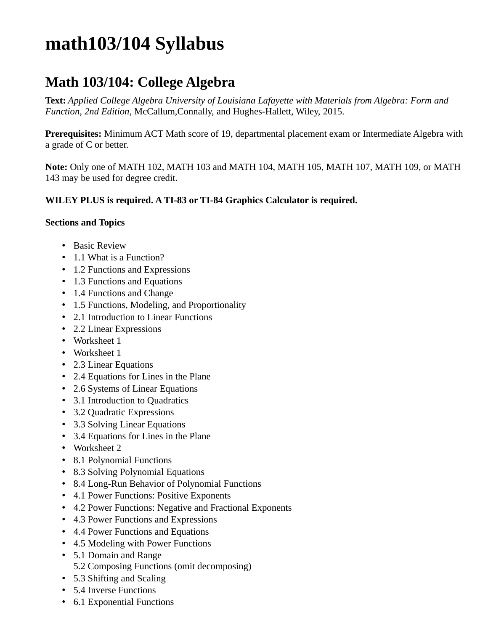## **math103/104 Syllabus**

## **Math 103/104: College Algebra**

**Text:** *Applied College Algebra University of Louisiana Lafayette with Materials from Algebra: Form and Function, 2nd Edition*, McCallum,Connally, and Hughes-Hallett, Wiley, 2015.

**Prerequisites:** Minimum ACT Math score of 19, departmental placement exam or Intermediate Algebra with a grade of C or better.

**Note:** Only one of MATH 102, MATH 103 and MATH 104, MATH 105, MATH 107, MATH 109, or MATH 143 may be used for degree credit.

## **WILEY PLUS is required. A TI-83 or TI-84 Graphics Calculator is required.**

## **Sections and Topics**

- Basic Review
- 1.1 What is a Function?
- 1.2 Functions and Expressions
- 1.3 Functions and Equations
- 1.4 Functions and Change
- 1.5 Functions, Modeling, and Proportionality
- 2.1 Introduction to Linear Functions
- 2.2 Linear Expressions
- Worksheet 1
- Worksheet 1
- 2.3 Linear Equations
- 2.4 Equations for Lines in the Plane
- 2.6 Systems of Linear Equations
- 3.1 Introduction to Quadratics
- 3.2 Quadratic Expressions
- 3.3 Solving Linear Equations
- 3.4 Equations for Lines in the Plane
- Worksheet 2
- 8.1 Polynomial Functions
- 8.3 Solving Polynomial Equations
- 8.4 Long-Run Behavior of Polynomial Functions
- 4.1 Power Functions: Positive Exponents
- 4.2 Power Functions: Negative and Fractional Exponents
- 4.3 Power Functions and Expressions
- 4.4 Power Functions and Equations
- 4.5 Modeling with Power Functions
- 5.1 Domain and Range 5.2 Composing Functions (omit decomposing)
- 5.3 Shifting and Scaling
- 5.4 Inverse Functions
- 6.1 Exponential Functions